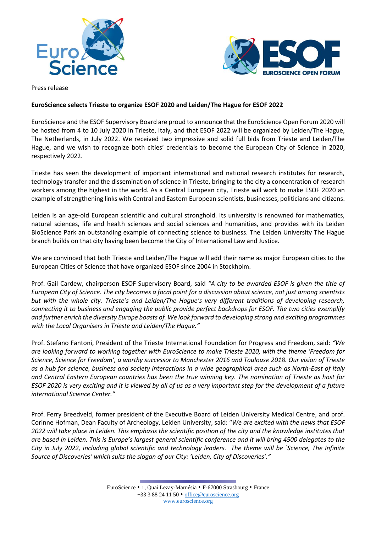



Press release

## **EuroScience selects Trieste to organize ESOF 2020 and Leiden/The Hague for ESOF 2022**

EuroScience and the ESOF Supervisory Board are proud to announce that the EuroScience Open Forum 2020 will be hosted from 4 to 10 July 2020 in Trieste, Italy, and that ESOF 2022 will be organized by Leiden/The Hague, The Netherlands, in July 2022. We received two impressive and solid full bids from Trieste and Leiden/The Hague, and we wish to recognize both cities' credentials to become the European City of Science in 2020, respectively 2022.

Trieste has seen the development of important international and national research institutes for research, technology transfer and the dissemination of science in Trieste, bringing to the city a concentration of research workers among the highest in the world. As a Central European city, Trieste will work to make ESOF 2020 an example of strengthening links with Central and Eastern European scientists, businesses, politicians and citizens.

Leiden is an age-old European scientific and cultural stronghold. Its university is renowned for mathematics, natural sciences, life and health sciences and social sciences and humanities, and provides with its Leiden BioScience Park an outstanding example of connecting science to business. The Leiden University The Hague branch builds on that city having been become the City of International Law and Justice.

We are convinced that both Trieste and Leiden/The Hague will add their name as major European cities to the European Cities of Science that have organized ESOF since 2004 in Stockholm.

Prof. Gail Cardew, chairperson ESOF Supervisory Board, said *"A city to be awarded ESOF is given the title of European City of Science. The city becomes a focal point for a discussion about science, not just among scientists but with the whole city. Trieste's and Leiden/The Hague's very different traditions of developing research, connecting it to business and engaging the public provide perfect backdrops for ESOF. The two cities exemplify and further enrich the diversity Europe boasts of. We look forward to developing strong and exciting programmes with the Local Organisers in Trieste and Leiden/The Hague."*

Prof. Stefano Fantoni, President of the Trieste International Foundation for Progress and Freedom, said: *"We are looking forward to working together with EuroScience to make Trieste 2020, with the theme 'Freedom for Science, Science for Freedom', a worthy successor to Manchester 2016 and Toulouse 2018. Our vision of Trieste as a hub for science, business and society interactions in a wide geographical area such as North-East of Italy and Central Eastern European countries has been the true winning key. The nomination of Trieste as host for ESOF 2020 is very exciting and it is viewed by all of us as a very important step for the development of a future international Science Center."*

Prof. Ferry Breedveld, former president of the Executive Board of Leiden University Medical Centre, and prof. Corinne Hofman, Dean Faculty of Archeology, Leiden University, said: "*We are excited with the news that ESOF 2022 will take place in Leiden. This emphasis the scientific position of the city and the knowledge institutes that are based in Leiden. This is Europe's largest general scientific conference and it will bring 4500 delegates to the City in July 2022, including global scientific and technology leaders. The theme will be `Science, The Infinite Source of Discoveries' which suits the slogan of our City: 'Leiden, City of Discoveries'."*